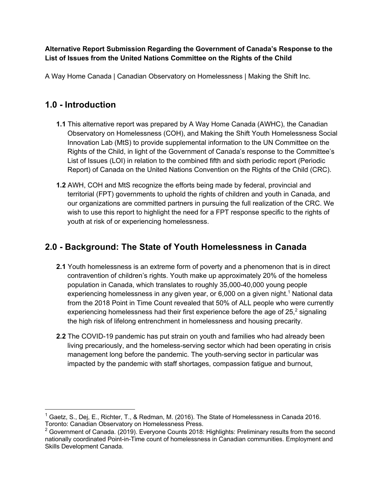**Alternative Report Submission Regarding the Government of Canada's Response to the List of Issues from the United Nations Committee on the Rights of the Child**

A Way Home Canada | Canadian Observatory on Homelessness | Making the Shift Inc.

#### **1.0 - Introduction**

- **1.1** This alternative report was prepared by A Way Home Canada (AWHC), the Canadian Observatory on Homelessness (COH), and Making the Shift Youth Homelessness Social Innovation Lab (MtS) to provide supplemental information to the UN Committee on the Rights of the Child, in light of the Government of Canada's response to the Committee's List of Issues (LOI) in relation to the combined fifth and sixth periodic report (Periodic Report) of Canada on the United Nations Convention on the Rights of the Child (CRC).
- **1.2** AWH, COH and MtS recognize the efforts being made by federal, provincial and territorial (FPT) governments to uphold the rights of children and youth in Canada, and our organizations are committed partners in pursuing the full realization of the CRC. We wish to use this report to highlight the need for a FPT response specific to the rights of youth at risk of or experiencing homelessness.

## **2.0 - Background: The State of Youth Homelessness in Canada**

- **2.1** Youth homelessness is an extreme form of poverty and a phenomenon that is in direct contravention of children's rights. Youth make up approximately 20% of the homeless population in Canada, which translates to roughly 35,000-40,000 young people experiencing homelessness in any given year, or  $6,000$  on a given night.<sup>1</sup> National data from the 2018 Point in Time Count revealed that 50% of ALL people who were currently experiencing homelessness had their first experience before the age of  $25<sup>2</sup>$  signaling the high risk of lifelong entrenchment in homelessness and housing precarity.
- **2.2** The COVID-19 pandemic has put strain on youth and families who had already been living precariously, and the homeless-serving sector which had been operating in crisis management long before the pandemic. The youth-serving sector in particular was impacted by the pandemic with staff shortages, compassion fatigue and burnout,

<sup>&</sup>lt;sup>1</sup> Gaetz, S., Dej, E., Richter, T., & Redman, M. (2016). The State of Homelessness in Canada 2016. Toronto: Canadian Observatory on Homelessness Press.

 $2$  Government of Canada. (2019). Everyone Counts 2018: Highlights: Preliminary results from the second nationally coordinated Point-in-Time count of homelessness in Canadian communities. Employment and Skills Development Canada.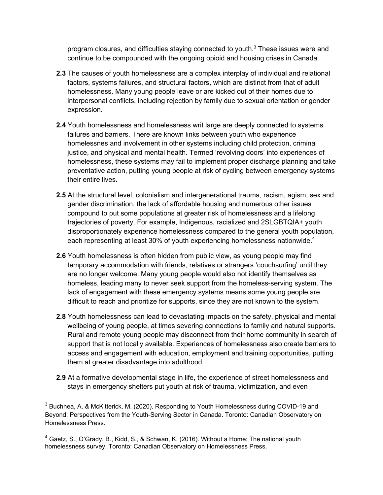program closures, and difficulties staving connected to youth. $3$  These issues were and continue to be compounded with the ongoing opioid and housing crises in Canada.

- **2.3** The causes of youth homelessness are a complex interplay of individual and relational factors, systems failures, and structural factors, which are distinct from that of adult homelessness. Many young people leave or are kicked out of their homes due to interpersonal conflicts, including rejection by family due to sexual orientation or gender expression.
- **2.4** Youth homelessness and homelessness writ large are deeply connected to systems failures and barriers. There are known links between youth who experience homelessnes and involvement in other systems including child protection, criminal justice, and physical and mental health. Termed 'revolving doors' into experiences of homelessness, these systems may fail to implement proper discharge planning and take preventative action, putting young people at risk of cycling between emergency systems their entire lives.
- **2.5** At the structural level, colonialism and intergenerational trauma, racism, agism, sex and gender discrimination, the lack of affordable housing and numerous other issues compound to put some populations at greater risk of homelessness and a lifelong trajectories of poverty. For example, Indigenous, racialized and 2SLGBTQIA+ youth disproportionately experience homelessness compared to the general youth population, each representing at least 30% of youth experiencing homelessness nationwide.<sup>4</sup>
- **2.6** Youth homelessness is often hidden from public view, as young people may find temporary accommodation with friends, relatives or strangers 'couchsurfing' until they are no longer welcome. Many young people would also not identify themselves as homeless, leading many to never seek support from the homeless-serving system. The lack of engagement with these emergency systems means some young people are difficult to reach and prioritize for supports, since they are not known to the system.
- **2.8** Youth homelessness can lead to devastating impacts on the safety, physical and mental wellbeing of young people, at times severing connections to family and natural supports. Rural and remote young people may disconnect from their home community in search of support that is not locally available. Experiences of homelessness also create barriers to access and engagement with education, employment and training opportunities, putting them at greater disadvantage into adulthood.
- **2.9** At a formative developmental stage in life, the experience of street homelessness and stays in emergency shelters put youth at risk of trauma, victimization, and even

<sup>&</sup>lt;sup>3</sup> Buchnea, A. & McKitterick, M. (2020). Responding to Youth Homelessness during COVID-19 and Beyond: Perspectives from the Youth-Serving Sector in Canada. Toronto: Canadian Observatory on Homelessness Press.

<sup>4</sup> Gaetz, S., O'Grady, B., Kidd, S., & Schwan, K. (2016). Without a Home: The national youth homelessness survey. Toronto: Canadian Observatory on Homelessness Press.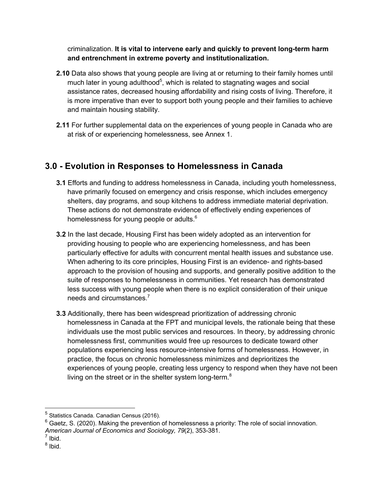criminalization. **It is vital to intervene early and quickly to prevent long-term harm and entrenchment in extreme poverty and institutionalization.**

- **2.10** Data also shows that young people are living at or returning to their family homes until much later in young adulthood<sup>5</sup>, which is related to stagnating wages and social assistance rates, decreased housing affordability and rising costs of living. Therefore, it is more imperative than ever to support both young people and their families to achieve and maintain housing stability.
- **2.11** For further supplemental data on the experiences of young people in Canada who are at risk of or experiencing homelessness, see Annex 1.

### **3.0 - Evolution in Responses to Homelessness in Canada**

- **3.1** Efforts and funding to address homelessness in Canada, including youth homelessness, have primarily focused on emergency and crisis response, which includes emergency shelters, day programs, and soup kitchens to address immediate material deprivation. These actions do not demonstrate evidence of effectively ending experiences of homelessness for young people or adults.<sup>6</sup>
- **3.2** In the last decade, Housing First has been widely adopted as an intervention for providing housing to people who are experiencing homelessness, and has been particularly effective for adults with concurrent mental health issues and substance use. When adhering to its core principles, Housing First is an evidence- and rights-based approach to the provision of housing and supports, and generally positive addition to the suite of responses to homelessness in communities. Yet research has demonstrated less success with young people when there is no explicit consideration of their unique needs and circumstances.<sup>7</sup>
- **3.3** Additionally, there has been widespread prioritization of addressing chronic homelessness in Canada at the FPT and municipal levels, the rationale being that these individuals use the most public services and resources. In theory, by addressing chronic homelessness first, communities would free up resources to dedicate toward other populations experiencing less resource-intensive forms of homelessness. However, in practice, the focus on chronic homelessness minimizes and deprioritizes the experiences of young people, creating less urgency to respond when they have not been living on the street or in the shelter system long-term.<sup>8</sup>

 $8$  Ibid.

<sup>5</sup> Statistics Canada. Canadian Census (2016).

 $6$  Gaetz, S. (2020). Making the prevention of homelessness a priority: The role of social innovation. *American Journal of Economics and Sociology, 79*(2), 353-381.

 $<sup>7</sup>$  Ibid.</sup>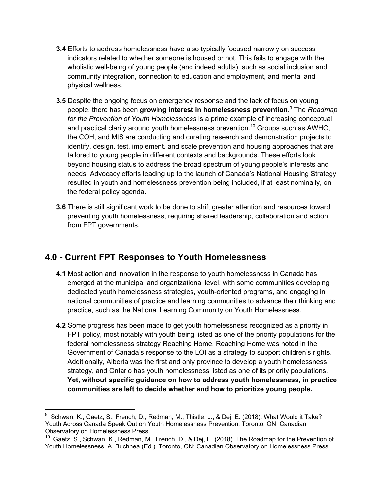- **3.4** Efforts to address homelessness have also typically focused narrowly on success indicators related to whether someone is housed or not. This fails to engage with the wholistic well-being of young people (and indeed adults), such as social inclusion and community integration, connection to education and employment, and mental and physical wellness.
- **3.5** Despite the ongoing focus on emergency response and the lack of focus on young people, there has been **growing interest in homelessness prevention**. <sup>9</sup> The *Roadmap for the Prevention of Youth Homelessness* is a prime example of increasing conceptual and practical clarity around youth homelessness prevention.<sup>10</sup> Groups such as AWHC, the COH, and MtS are conducting and curating research and demonstration projects to identify, design, test, implement, and scale prevention and housing approaches that are tailored to young people in different contexts and backgrounds. These efforts look beyond housing status to address the broad spectrum of young people's interests and needs. Advocacy efforts leading up to the launch of Canada's National Housing Strategy resulted in youth and homelessness prevention being included, if at least nominally, on the federal policy agenda.
- **3.6** There is still significant work to be done to shift greater attention and resources toward preventing youth homelessness, requiring shared leadership, collaboration and action from FPT governments.

#### **4.0 - Current FPT Responses to Youth Homelessness**

- **4.1** Most action and innovation in the response to youth homelessness in Canada has emerged at the municipal and organizational level, with some communities developing dedicated youth homelessness strategies, youth-oriented programs, and engaging in national communities of practice and learning communities to advance their thinking and practice, such as the National Learning Community on Youth Homelessness.
- **4.2** Some progress has been made to get youth homelessness recognized as a priority in FPT policy, most notably with youth being listed as one of the priority populations for the federal homelessness strategy Reaching Home. Reaching Home was noted in the Government of Canada's response to the LOI as a strategy to support children's rights. Additionally, Alberta was the first and only province to develop a youth homelessness strategy, and Ontario has youth homelessness listed as one of its priority populations. **Yet, without specific guidance on how to address youth homelessness, in practice communities are left to decide whether and how to prioritize young people.**

<sup>9</sup> Schwan, K., Gaetz, S., French, D., Redman, M., Thistle, J., & Dej, E. (2018). What Would it Take? Youth Across Canada Speak Out on Youth Homelessness Prevention. Toronto, ON: Canadian Observatory on Homelessness Press.

<sup>&</sup>lt;sup>10</sup> Gaetz, S., Schwan, K., Redman, M., French, D., & Dej, E. (2018). The Roadmap for the Prevention of Youth Homelessness. A. Buchnea (Ed.). Toronto, ON: Canadian Observatory on Homelessness Press.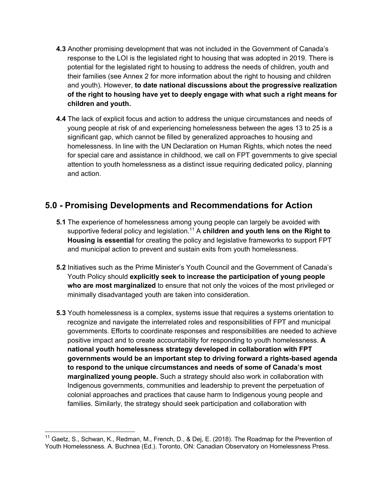- **4.3** Another promising development that was not included in the Government of Canada's response to the LOI is the legislated right to housing that was adopted in 2019. There is potential for the legislated right to housing to address the needs of children, youth and their families (see Annex 2 for more information about the right to housing and children and youth). However, **to date national discussions about the progressive realization of the right to housing have yet to deeply engage with what such a right means for children and youth.**
- **4.4** The lack of explicit focus and action to address the unique circumstances and needs of young people at risk of and experiencing homelessness between the ages 13 to 25 is a significant gap, which cannot be filled by generalized approaches to housing and homelessness. In line with the UN Declaration on Human Rights, which notes the need for special care and assistance in childhood, we call on FPT governments to give special attention to youth homelessness as a distinct issue requiring dedicated policy, planning and action.

### **5.0 - Promising Developments and Recommendations for Action**

- **5.1** The experience of homelessness among young people can largely be avoided with supportive federal policy and legislation.<sup>11</sup> A **children and youth lens on the Right to Housing is essential** for creating the policy and legislative frameworks to support FPT and municipal action to prevent and sustain exits from youth homelessness.
- **5.2** Initiatives such as the Prime Minister's Youth Council and the Government of Canada's Youth Policy should **explicitly seek to increase the participation of young people who are most marginalized** to ensure that not only the voices of the most privileged or minimally disadvantaged youth are taken into consideration.
- **5.3** Youth homelessness is a complex, systems issue that requires a systems orientation to recognize and navigate the interrelated roles and responsibilities of FPT and municipal governments. Efforts to coordinate responses and responsibilities are needed to achieve positive impact and to create accountability for responding to youth homelessness. **A national youth homelessness strategy developed in collaboration with FPT governments would be an important step to driving forward a rights-based agenda to respond to the unique circumstances and needs of some of Canada's most marginalized young people.** Such a strategy should also work in collaboration with Indigenous governments, communities and leadership to prevent the perpetuation of colonial approaches and practices that cause harm to Indigenous young people and families. Similarly, the strategy should seek participation and collaboration with

<sup>&</sup>lt;sup>11</sup> Gaetz, S., Schwan, K., Redman, M., French, D., & Dej, E. (2018). The Roadmap for the Prevention of Youth Homelessness. A. Buchnea (Ed.). Toronto, ON: Canadian Observatory on Homelessness Press.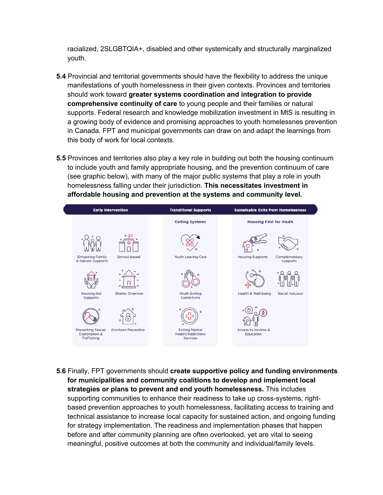racialized, 2SLGBTQIA+, disabled and other systemically and structurally marginalized youth.

- **5.4** Provincial and territorial governments should have the flexibility to address the unique manifestations of youth homelessness in their given contexts. Provinces and territories should work toward **greater systems coordination and integration to provide comprehensive continuity of care** to young people and their families or natural supports. Federal research and knowledge mobilization investment in MtS is resulting in a growing body of evidence and promising approaches to youth homelessnes prevention in Canada. FPT and municipal governments can draw on and adapt the learnings from this body of work for local contexts.
- **5.5** Provinces and territories also play a key role in building out both the housing continuum to include youth and family appropriate housing, and the prevention continuum of care (see graphic below), with many of the major public systems that play a role in youth homelessness falling under their jurisdiction. **This necessitates investment in affordable housing and prevention at the systems and community level.**



**5.6** Finally, FPT governments should **create supportive policy and funding environments for municipalities and community coalitions to develop and implement local strategies or plans to prevent and end youth homelessness.** This includes supporting communities to enhance their readiness to take up cross-systems, rightbased prevention approaches to youth homelessness, facilitating access to training and technical assistance to increase local capacity for sustained action, and ongoing funding for strategy implementation. The readiness and implementation phases that happen before and after community planning are often overlooked, yet are vital to seeing meaningful, positive outcomes at both the community and individual/family levels.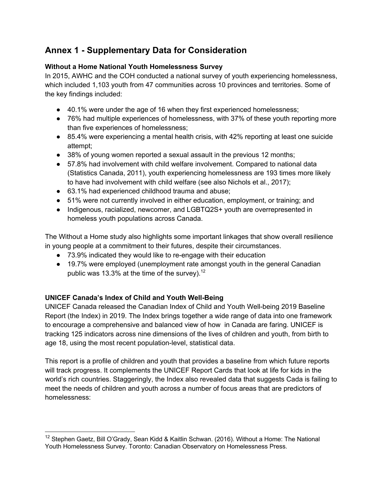## **Annex 1 - Supplementary Data for Consideration**

#### **Without a Home National Youth Homelessness Survey**

In 2015, AWHC and the COH conducted a national survey of youth experiencing homelessness, which included 1,103 youth from 47 communities across 10 provinces and territories. Some of the key findings included:

- 40.1% were under the age of 16 when they first experienced homelessness;
- 76% had multiple experiences of homelessness, with 37% of these youth reporting more than five experiences of homelessness;
- 85.4% were experiencing a mental health crisis, with 42% reporting at least one suicide attempt;
- 38% of young women reported a sexual assault in the previous 12 months;
- 57.8% had involvement with child welfare involvement. Compared to national data (Statistics Canada, 2011), youth experiencing homelessness are 193 times more likely to have had involvement with child welfare (see also Nichols et al., 2017);
- 63.1% had experienced childhood trauma and abuse;
- 51% were not currently involved in either education, employment, or training; and
- Indigenous, racialized, newcomer, and LGBTQ2S+ youth are overrepresented in homeless youth populations across Canada.

The Without a Home study also highlights some important linkages that show overall resilience in young people at a commitment to their futures, despite their circumstances.

- 73.9% indicated they would like to re-engage with their education
- 19.7% were employed (unemployment rate amongst youth in the general Canadian public was 13.3% at the time of the survey).<sup>12</sup>

#### **UNICEF Canada's Index of Child and Youth Well-Being**

UNICEF Canada released the Canadian Index of Child and Youth Well-being 2019 Baseline Report (the Index) in 2019. The Index brings together a wide range of data into one framework to encourage a comprehensive and balanced view of how in Canada are faring. UNICEF is tracking 125 indicators across nine dimensions of the lives of children and youth, from birth to age 18, using the most recent population-level, statistical data.

This report is a profile of children and youth that provides a baseline from which future reports will track progress. It complements the UNICEF Report Cards that look at life for kids in the world's rich countries. Staggeringly, the Index also revealed data that suggests Cada is failing to meet the needs of children and youth across a number of focus areas that are predictors of homelessness:

<sup>&</sup>lt;sup>12</sup> Stephen Gaetz, Bill O'Grady, Sean Kidd & Kaitlin Schwan. (2016). Without a Home: The National Youth Homelessness Survey. Toronto: Canadian Observatory on Homelessness Press.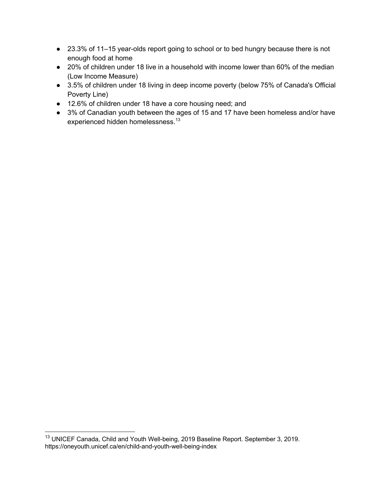- 23.3% of 11–15 year-olds report going to school or to bed hungry because there is not enough food at home
- 20% of children under 18 live in a household with income lower than 60% of the median (Low Income Measure)
- 3.5% of children under 18 living in deep income poverty (below 75% of Canada's Official Poverty Line)
- 12.6% of children under 18 have a core housing need; and
- 3% of Canadian youth between the ages of 15 and 17 have been homeless and/or have experienced hidden homelessness.<sup>13</sup>

<sup>&</sup>lt;sup>13</sup> UNICEF Canada, Child and Youth Well-being, 2019 Baseline Report. September 3, 2019. https://oneyouth.unicef.ca/en/child-and-youth-well-being-index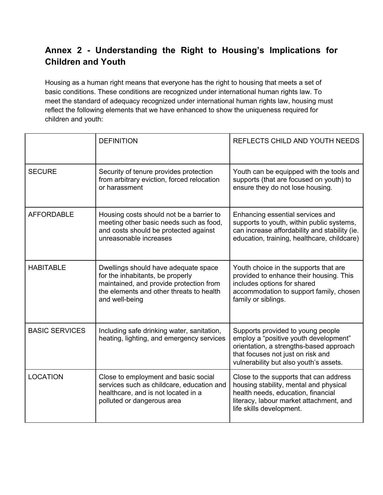# **Annex 2 - Understanding the Right to Housing's Implications for Children and Youth**

Housing as a human right means that everyone has the right to housing that meets a set of basic conditions. These conditions are recognized under international human rights law. To meet the standard of adequacy recognized under international human rights law, housing must reflect the following elements that we have enhanced to show the uniqueness required for children and youth:

|                       | <b>DEFINITION</b>                                                                                                                                                                 | REFLECTS CHILD AND YOUTH NEEDS                                                                                                                                                                       |
|-----------------------|-----------------------------------------------------------------------------------------------------------------------------------------------------------------------------------|------------------------------------------------------------------------------------------------------------------------------------------------------------------------------------------------------|
| <b>SECURE</b>         | Security of tenure provides protection<br>from arbitrary eviction, forced relocation<br>or harassment                                                                             | Youth can be equipped with the tools and<br>supports (that are focused on youth) to<br>ensure they do not lose housing.                                                                              |
| <b>AFFORDABLE</b>     | Housing costs should not be a barrier to<br>meeting other basic needs such as food,<br>and costs should be protected against<br>unreasonable increases                            | Enhancing essential services and<br>supports to youth, within public systems,<br>can increase affordability and stability (ie.<br>education, training, healthcare, childcare)                        |
| <b>HABITABLE</b>      | Dwellings should have adequate space<br>for the inhabitants, be properly<br>maintained, and provide protection from<br>the elements and other threats to health<br>and well-being | Youth choice in the supports that are<br>provided to enhance their housing. This<br>includes options for shared<br>accommodation to support family, chosen<br>family or siblings.                    |
| <b>BASIC SERVICES</b> | Including safe drinking water, sanitation,<br>heating, lighting, and emergency services                                                                                           | Supports provided to young people<br>employ a "positive youth development"<br>orientation, a strengths-based approach<br>that focuses not just on risk and<br>vulnerability but also youth's assets. |
| <b>LOCATION</b>       | Close to employment and basic social<br>services such as childcare, education and<br>healthcare, and is not located in a<br>polluted or dangerous area                            | Close to the supports that can address<br>housing stability, mental and physical<br>health needs, education, financial<br>literacy, labour market attachment, and<br>life skills development.        |